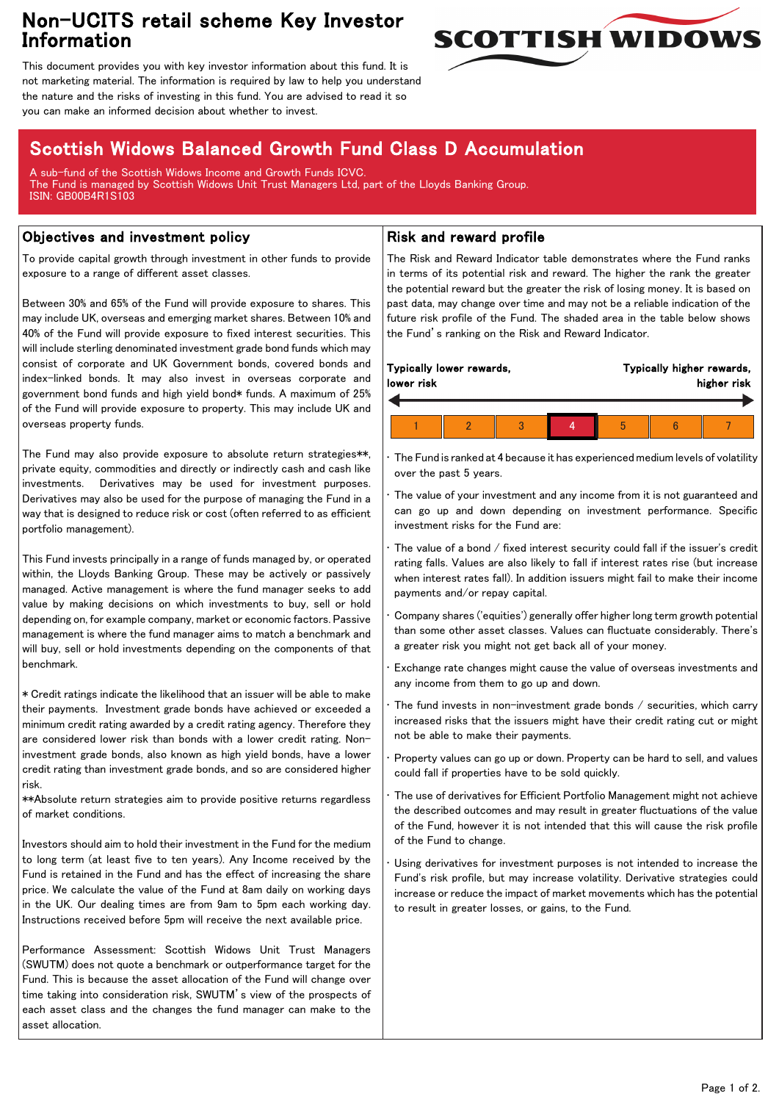## Non-UCITS retail scheme Key Investor Information



This document provides you with key investor information about this fund. It is not marketing material. The information is required by law to help you understand the nature and the risks of investing in this fund. You are advised to read it so you can make an informed decision about whether to invest.

# Scottish Widows Balanced Growth Fund Class D Accumulation

A sub-fund of the Scottish Widows Income and Growth Funds ICVC. The Fund is managed by Scottish Widows Unit Trust Managers Ltd, part of the Lloyds Banking Group. ISIN: GB00B4R1S103

### Objectives and investment policy

To provide capital growth through investment in other funds to provide exposure to a range of different asset classes.

Between 30% and 65% of the Fund will provide exposure to shares. This may include UK, overseas and emerging market shares. Between 10% and 40% of the Fund will provide exposure to fixed interest securities. This will include sterling denominated investment grade bond funds which may consist of corporate and UK Government bonds, covered bonds and index-linked bonds. It may also invest in overseas corporate and government bond funds and high yield bond\* funds. A maximum of 25% of the Fund will provide exposure to property. This may include UK and overseas property funds.

The Fund may also provide exposure to absolute return strategies\*\*, private equity, commodities and directly or indirectly cash and cash like investments. Derivatives may be used for investment purposes. Derivatives may also be used for the purpose of managing the Fund in a way that is designed to reduce risk or cost (often referred to as efficient portfolio management).

This Fund invests principally in a range of funds managed by, or operated within, the Lloyds Banking Group. These may be actively or passively managed. Active management is where the fund manager seeks to add value by making decisions on which investments to buy, sell or hold depending on, for example company, market or economic factors. Passive management is where the fund manager aims to match a benchmark and will buy, sell or hold investments depending on the components of that benchmark.

\* Credit ratings indicate the likelihood that an issuer will be able to make their payments. Investment grade bonds have achieved or exceeded a minimum credit rating awarded by a credit rating agency. Therefore they are considered lower risk than bonds with a lower credit rating. Noninvestment grade bonds, also known as high yield bonds, have a lower credit rating than investment grade bonds, and so are considered higher risk.

\*\*Absolute return strategies aim to provide positive returns regardless of market conditions.

Investors should aim to hold their investment in the Fund for the medium to long term (at least five to ten years). Any Income received by the Fund is retained in the Fund and has the effect of increasing the share price. We calculate the value of the Fund at 8am daily on working days in the UK. Our dealing times are from 9am to 5pm each working day. Instructions received before 5pm will receive the next available price.

Performance Assessment: Scottish Widows Unit Trust Managers (SWUTM) does not quote a benchmark or outperformance target for the Fund. This is because the asset allocation of the Fund will change over time taking into consideration risk, SWUTM's view of the prospects of each asset class and the changes the fund manager can make to the asset allocation.

#### Risk and reward profile

The Risk and Reward Indicator table demonstrates where the Fund ranks in terms of its potential risk and reward. The higher the rank the greater the potential reward but the greater the risk of losing money. It is based on past data, may change over time and may not be a reliable indication of the future risk profile of the Fund. The shaded area in the table below shows the Fund's ranking on the Risk and Reward Indicator.

|  | lower risk | Typically lower rewards, |  |  |   | Typically higher rewards, | higher risk |  |  |
|--|------------|--------------------------|--|--|---|---------------------------|-------------|--|--|
|  |            |                          |  |  |   |                           |             |  |  |
|  |            |                          |  |  | h |                           |             |  |  |

• The Fund is ranked at 4 because it has experienced medium levels of volatility over the past 5 years.

The value of your investment and any income from it is not guaranteed and can go up and down depending on investment performance. Specific investment risks for the Fund are:

• The value of a bond / fixed interest security could fall if the issuer's credit rating falls. Values are also likely to fall if interest rates rise (but increase when interest rates fall). In addition issuers might fail to make their income payments and/or repay capital.

• Company shares ('equities') generally offer higher long term growth potential than some other asset classes. Values can fluctuate considerably. There's a greater risk you might not get back all of your money.

• Exchange rate changes might cause the value of overseas investments and any income from them to go up and down.

The fund invests in non-investment grade bonds  $/$  securities, which carry increased risks that the issuers might have their credit rating cut or might not be able to make their payments.

• Property values can go up or down. Property can be hard to sell, and values could fall if properties have to be sold quickly.

• The use of derivatives for Efficient Portfolio Management might not achieve the described outcomes and may result in greater fluctuations of the value of the Fund, however it is not intended that this will cause the risk profile of the Fund to change.

Using derivatives for investment purposes is not intended to increase the Fund's risk profile, but may increase volatility. Derivative strategies could increase or reduce the impact of market movements which has the potential to result in greater losses, or gains, to the Fund.